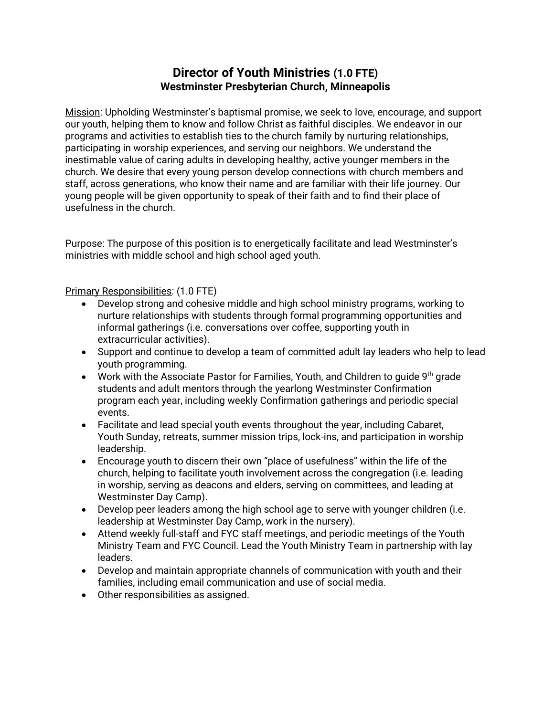## **Director of Youth Ministries (1.0 FTE) Westminster Presbyterian Church, Minneapolis**

Mission: Upholding Westminster's baptismal promise, we seek to love, encourage, and support our youth, helping them to know and follow Christ as faithful disciples. We endeavor in our programs and activities to establish ties to the church family by nurturing relationships, participating in worship experiences, and serving our neighbors. We understand the inestimable value of caring adults in developing healthy, active younger members in the church. We desire that every young person develop connections with church members and staff, across generations, who know their name and are familiar with their life journey. Our young people will be given opportunity to speak of their faith and to find their place of usefulness in the church.

Purpose: The purpose of this position is to energetically facilitate and lead Westminster's ministries with middle school and high school aged youth.

Primary Responsibilities: (1.0 FTE)

- Develop strong and cohesive middle and high school ministry programs, working to nurture relationships with students through formal programming opportunities and informal gatherings (i.e. conversations over coffee, supporting youth in extracurricular activities).
- Support and continue to develop a team of committed adult lay leaders who help to lead youth programming.
- Work with the Associate Pastor for Families, Youth, and Children to guide 9<sup>th</sup> grade students and adult mentors through the yearlong Westminster Confirmation program each year, including weekly Confirmation gatherings and periodic special events.
- Facilitate and lead special youth events throughout the year, including Cabaret, Youth Sunday, retreats, summer mission trips, lock-ins, and participation in worship leadership.
- Encourage youth to discern their own "place of usefulness" within the life of the church, helping to facilitate youth involvement across the congregation (i.e. leading in worship, serving as deacons and elders, serving on committees, and leading at Westminster Day Camp).
- Develop peer leaders among the high school age to serve with younger children (i.e. leadership at Westminster Day Camp, work in the nursery).
- Attend weekly full-staff and FYC staff meetings, and periodic meetings of the Youth Ministry Team and FYC Council. Lead the Youth Ministry Team in partnership with lay leaders.
- Develop and maintain appropriate channels of communication with youth and their families, including email communication and use of social media.
- Other responsibilities as assigned.